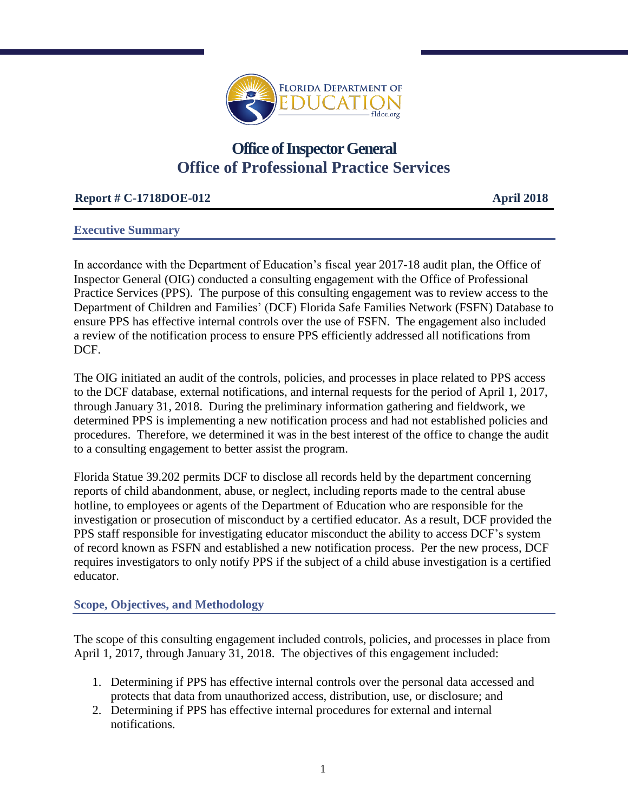

# **Office of Inspector General Office of Professional Practice Services**

## **Report # C-1718DOE-012 April 2018**

#### **Executive Summary**

In accordance with the Department of Education's fiscal year 2017-18 audit plan, the Office of Inspector General (OIG) conducted a consulting engagement with the Office of Professional Practice Services (PPS). The purpose of this consulting engagement was to review access to the Department of Children and Families' (DCF) Florida Safe Families Network (FSFN) Database to ensure PPS has effective internal controls over the use of FSFN. The engagement also included a review of the notification process to ensure PPS efficiently addressed all notifications from DCF.

The OIG initiated an audit of the controls, policies, and processes in place related to PPS access to the DCF database, external notifications, and internal requests for the period of April 1, 2017, through January 31, 2018. During the preliminary information gathering and fieldwork, we determined PPS is implementing a new notification process and had not established policies and procedures. Therefore, we determined it was in the best interest of the office to change the audit to a consulting engagement to better assist the program.

Florida Statue 39.202 permits DCF to disclose all records held by the department concerning reports of child abandonment, abuse, or neglect, including reports made to the central abuse hotline, to employees or agents of the Department of Education who are responsible for the investigation or prosecution of misconduct by a certified educator. As a result, DCF provided the PPS staff responsible for investigating educator misconduct the ability to access DCF's system of record known as FSFN and established a new notification process. Per the new process, DCF requires investigators to only notify PPS if the subject of a child abuse investigation is a certified educator.

## **Scope, Objectives, and Methodology**

The scope of this consulting engagement included controls, policies, and processes in place from April 1, 2017, through January 31, 2018. The objectives of this engagement included:

- 1. Determining if PPS has effective internal controls over the personal data accessed and protects that data from unauthorized access, distribution, use, or disclosure; and
- 2. Determining if PPS has effective internal procedures for external and internal notifications.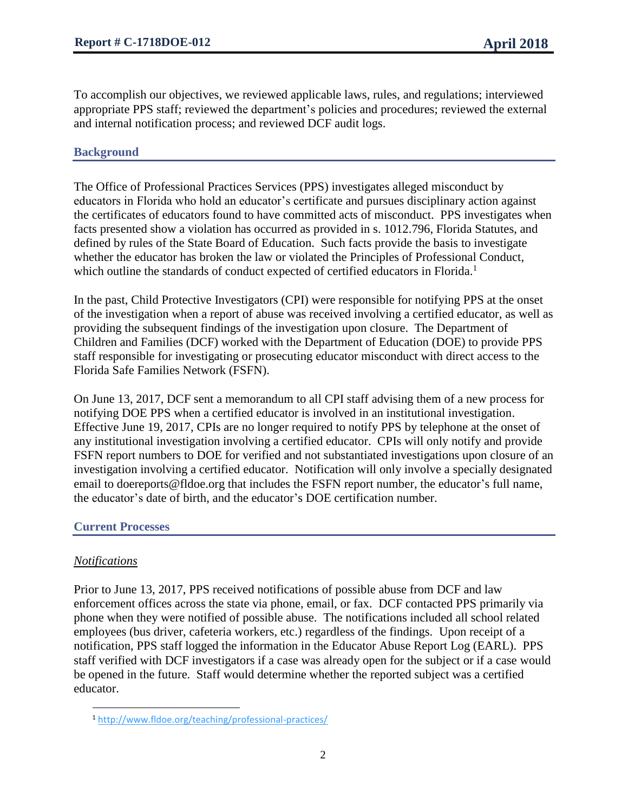To accomplish our objectives, we reviewed applicable laws, rules, and regulations; interviewed appropriate PPS staff; reviewed the department's policies and procedures; reviewed the external and internal notification process; and reviewed DCF audit logs.

## **Background**

The Office of Professional Practices Services (PPS) investigates alleged misconduct by educators in Florida who hold an educator's certificate and pursues disciplinary action against the certificates of educators found to have committed acts of misconduct. PPS investigates when facts presented show a violation has occurred as provided in s. 1012.796, Florida Statutes, and defined by rules of the State Board of Education. Such facts provide the basis to investigate whether the educator has broken the law or violated the Principles of Professional Conduct, which outline the standards of conduct expected of certified educators in Florida.<sup>1</sup>

In the past, Child Protective Investigators (CPI) were responsible for notifying PPS at the onset of the investigation when a report of abuse was received involving a certified educator, as well as providing the subsequent findings of the investigation upon closure. The Department of Children and Families (DCF) worked with the Department of Education (DOE) to provide PPS staff responsible for investigating or prosecuting educator misconduct with direct access to the Florida Safe Families Network (FSFN).

On June 13, 2017, DCF sent a memorandum to all CPI staff advising them of a new process for notifying DOE PPS when a certified educator is involved in an institutional investigation. Effective June 19, 2017, CPIs are no longer required to notify PPS by telephone at the onset of any institutional investigation involving a certified educator. CPIs will only notify and provide FSFN report numbers to DOE for verified and not substantiated investigations upon closure of an investigation involving a certified educator. Notification will only involve a specially designated email to doereports@fldoe.org that includes the FSFN report number, the educator's full name, the educator's date of birth, and the educator's DOE certification number.

## **Current Processes**

## *Notifications*

Prior to June 13, 2017, PPS received notifications of possible abuse from DCF and law enforcement offices across the state via phone, email, or fax. DCF contacted PPS primarily via phone when they were notified of possible abuse. The notifications included all school related employees (bus driver, cafeteria workers, etc.) regardless of the findings. Upon receipt of a notification, PPS staff logged the information in the Educator Abuse Report Log (EARL). PPS staff verified with DCF investigators if a case was already open for the subject or if a case would be opened in the future. Staff would determine whether the reported subject was a certified educator.

<sup>1</sup> <http://www.fldoe.org/teaching/professional-practices/>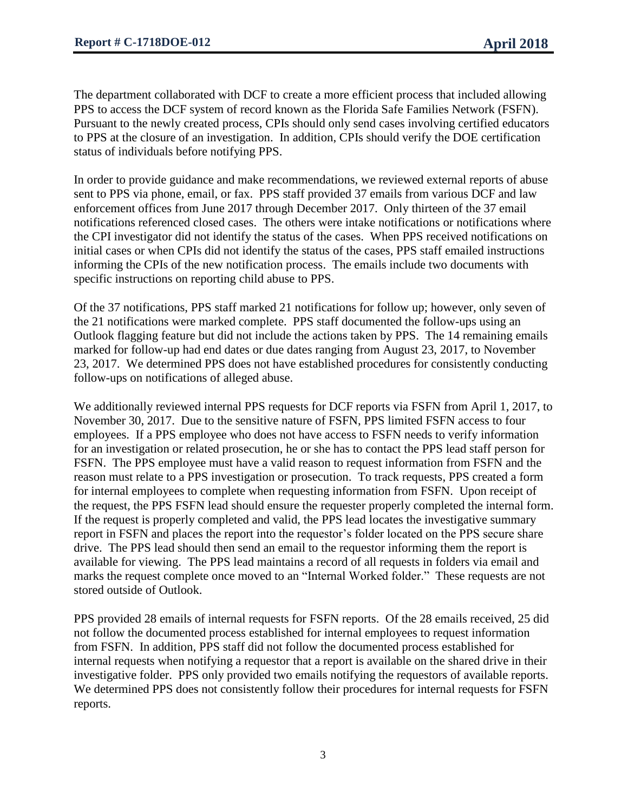The department collaborated with DCF to create a more efficient process that included allowing PPS to access the DCF system of record known as the Florida Safe Families Network (FSFN). Pursuant to the newly created process, CPIs should only send cases involving certified educators to PPS at the closure of an investigation. In addition, CPIs should verify the DOE certification status of individuals before notifying PPS.

In order to provide guidance and make recommendations, we reviewed external reports of abuse sent to PPS via phone, email, or fax. PPS staff provided 37 emails from various DCF and law enforcement offices from June 2017 through December 2017. Only thirteen of the 37 email notifications referenced closed cases. The others were intake notifications or notifications where the CPI investigator did not identify the status of the cases. When PPS received notifications on initial cases or when CPIs did not identify the status of the cases, PPS staff emailed instructions informing the CPIs of the new notification process. The emails include two documents with specific instructions on reporting child abuse to PPS.

Of the 37 notifications, PPS staff marked 21 notifications for follow up; however, only seven of the 21 notifications were marked complete. PPS staff documented the follow-ups using an Outlook flagging feature but did not include the actions taken by PPS. The 14 remaining emails marked for follow-up had end dates or due dates ranging from August 23, 2017, to November 23, 2017. We determined PPS does not have established procedures for consistently conducting follow-ups on notifications of alleged abuse.

We additionally reviewed internal PPS requests for DCF reports via FSFN from April 1, 2017, to November 30, 2017. Due to the sensitive nature of FSFN, PPS limited FSFN access to four employees. If a PPS employee who does not have access to FSFN needs to verify information for an investigation or related prosecution, he or she has to contact the PPS lead staff person for FSFN. The PPS employee must have a valid reason to request information from FSFN and the reason must relate to a PPS investigation or prosecution. To track requests, PPS created a form for internal employees to complete when requesting information from FSFN. Upon receipt of the request, the PPS FSFN lead should ensure the requester properly completed the internal form. If the request is properly completed and valid, the PPS lead locates the investigative summary report in FSFN and places the report into the requestor's folder located on the PPS secure share drive. The PPS lead should then send an email to the requestor informing them the report is available for viewing. The PPS lead maintains a record of all requests in folders via email and marks the request complete once moved to an "Internal Worked folder." These requests are not stored outside of Outlook.

PPS provided 28 emails of internal requests for FSFN reports. Of the 28 emails received, 25 did not follow the documented process established for internal employees to request information from FSFN. In addition, PPS staff did not follow the documented process established for internal requests when notifying a requestor that a report is available on the shared drive in their investigative folder. PPS only provided two emails notifying the requestors of available reports. We determined PPS does not consistently follow their procedures for internal requests for FSFN reports.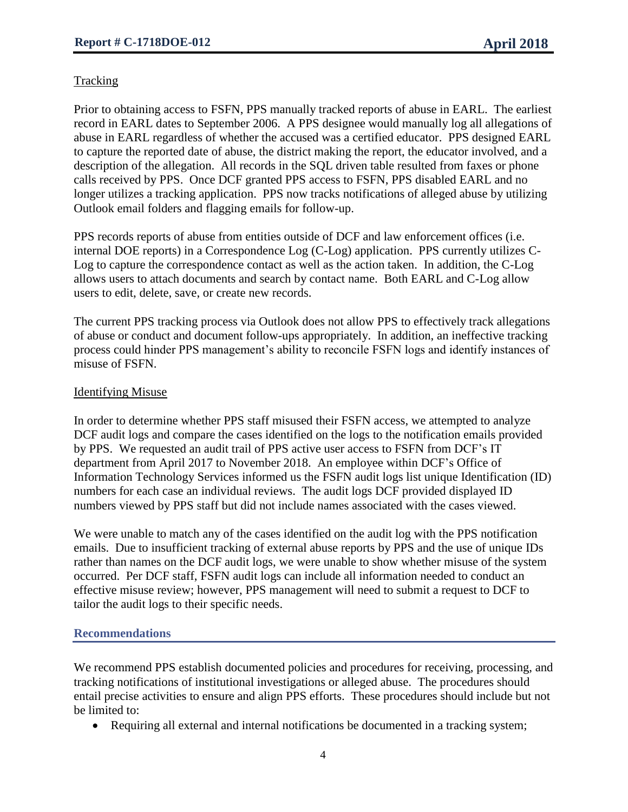#### **Tracking**

Prior to obtaining access to FSFN, PPS manually tracked reports of abuse in EARL. The earliest record in EARL dates to September 2006. A PPS designee would manually log all allegations of abuse in EARL regardless of whether the accused was a certified educator. PPS designed EARL to capture the reported date of abuse, the district making the report, the educator involved, and a description of the allegation. All records in the SQL driven table resulted from faxes or phone calls received by PPS. Once DCF granted PPS access to FSFN, PPS disabled EARL and no longer utilizes a tracking application. PPS now tracks notifications of alleged abuse by utilizing Outlook email folders and flagging emails for follow-up.

PPS records reports of abuse from entities outside of DCF and law enforcement offices (i.e. internal DOE reports) in a Correspondence Log (C-Log) application. PPS currently utilizes C-Log to capture the correspondence contact as well as the action taken. In addition, the C-Log allows users to attach documents and search by contact name. Both EARL and C-Log allow users to edit, delete, save, or create new records.

The current PPS tracking process via Outlook does not allow PPS to effectively track allegations of abuse or conduct and document follow-ups appropriately. In addition, an ineffective tracking process could hinder PPS management's ability to reconcile FSFN logs and identify instances of misuse of FSFN.

#### Identifying Misuse

In order to determine whether PPS staff misused their FSFN access, we attempted to analyze DCF audit logs and compare the cases identified on the logs to the notification emails provided by PPS. We requested an audit trail of PPS active user access to FSFN from DCF's IT department from April 2017 to November 2018. An employee within DCF's Office of Information Technology Services informed us the FSFN audit logs list unique Identification (ID) numbers for each case an individual reviews. The audit logs DCF provided displayed ID numbers viewed by PPS staff but did not include names associated with the cases viewed.

We were unable to match any of the cases identified on the audit log with the PPS notification emails. Due to insufficient tracking of external abuse reports by PPS and the use of unique IDs rather than names on the DCF audit logs, we were unable to show whether misuse of the system occurred. Per DCF staff, FSFN audit logs can include all information needed to conduct an effective misuse review; however, PPS management will need to submit a request to DCF to tailor the audit logs to their specific needs.

#### **Recommendations**

We recommend PPS establish documented policies and procedures for receiving, processing, and tracking notifications of institutional investigations or alleged abuse. The procedures should entail precise activities to ensure and align PPS efforts. These procedures should include but not be limited to:

• Requiring all external and internal notifications be documented in a tracking system;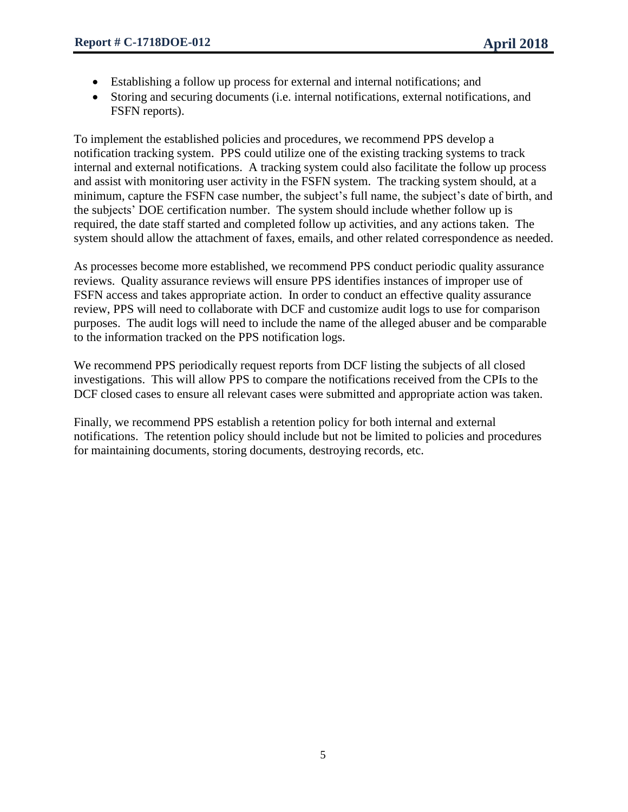- Establishing a follow up process for external and internal notifications; and
- Storing and securing documents (i.e. internal notifications, external notifications, and FSFN reports).

To implement the established policies and procedures, we recommend PPS develop a notification tracking system. PPS could utilize one of the existing tracking systems to track internal and external notifications. A tracking system could also facilitate the follow up process and assist with monitoring user activity in the FSFN system. The tracking system should, at a minimum, capture the FSFN case number, the subject's full name, the subject's date of birth, and the subjects' DOE certification number. The system should include whether follow up is required, the date staff started and completed follow up activities, and any actions taken. The system should allow the attachment of faxes, emails, and other related correspondence as needed.

As processes become more established, we recommend PPS conduct periodic quality assurance reviews. Quality assurance reviews will ensure PPS identifies instances of improper use of FSFN access and takes appropriate action. In order to conduct an effective quality assurance review, PPS will need to collaborate with DCF and customize audit logs to use for comparison purposes. The audit logs will need to include the name of the alleged abuser and be comparable to the information tracked on the PPS notification logs.

We recommend PPS periodically request reports from DCF listing the subjects of all closed investigations. This will allow PPS to compare the notifications received from the CPIs to the DCF closed cases to ensure all relevant cases were submitted and appropriate action was taken.

Finally, we recommend PPS establish a retention policy for both internal and external notifications. The retention policy should include but not be limited to policies and procedures for maintaining documents, storing documents, destroying records, etc.